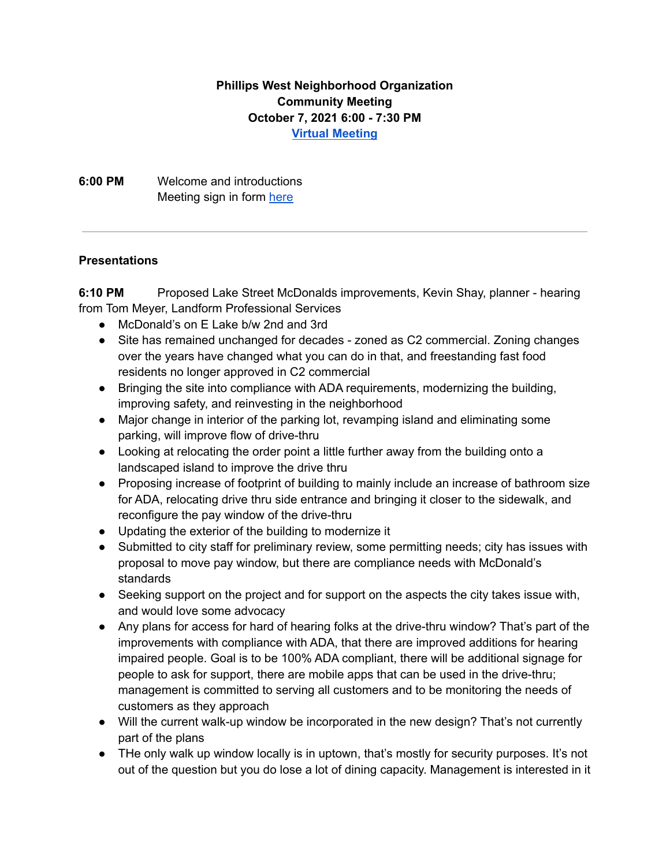## **Phillips West Neighborhood Organization Community Meeting October 7, 2021 6:00 - 7:30 PM Virtual [Meeting](https://meet.google.com/ycg-yuky-fhi)**

**6:00 PM** Welcome and introductions Meeting sign in form [here](https://forms.gle/AhaEU5HARcaHsw9v8)

## **Presentations**

**6:10 PM** Proposed Lake Street McDonalds improvements, Kevin Shay, planner - hearing from Tom Meyer, Landform Professional Services

- McDonald's on E Lake b/w 2nd and 3rd
- Site has remained unchanged for decades zoned as C2 commercial. Zoning changes over the years have changed what you can do in that, and freestanding fast food residents no longer approved in C2 commercial
- Bringing the site into compliance with ADA requirements, modernizing the building, improving safety, and reinvesting in the neighborhood
- Major change in interior of the parking lot, revamping island and eliminating some parking, will improve flow of drive-thru
- Looking at relocating the order point a little further away from the building onto a landscaped island to improve the drive thru
- Proposing increase of footprint of building to mainly include an increase of bathroom size for ADA, relocating drive thru side entrance and bringing it closer to the sidewalk, and reconfigure the pay window of the drive-thru
- Updating the exterior of the building to modernize it
- Submitted to city staff for preliminary review, some permitting needs; city has issues with proposal to move pay window, but there are compliance needs with McDonald's standards
- Seeking support on the project and for support on the aspects the city takes issue with, and would love some advocacy
- Any plans for access for hard of hearing folks at the drive-thru window? That's part of the improvements with compliance with ADA, that there are improved additions for hearing impaired people. Goal is to be 100% ADA compliant, there will be additional signage for people to ask for support, there are mobile apps that can be used in the drive-thru; management is committed to serving all customers and to be monitoring the needs of customers as they approach
- Will the current walk-up window be incorporated in the new design? That's not currently part of the plans
- THe only walk up window locally is in uptown, that's mostly for security purposes. It's not out of the question but you do lose a lot of dining capacity. Management is interested in it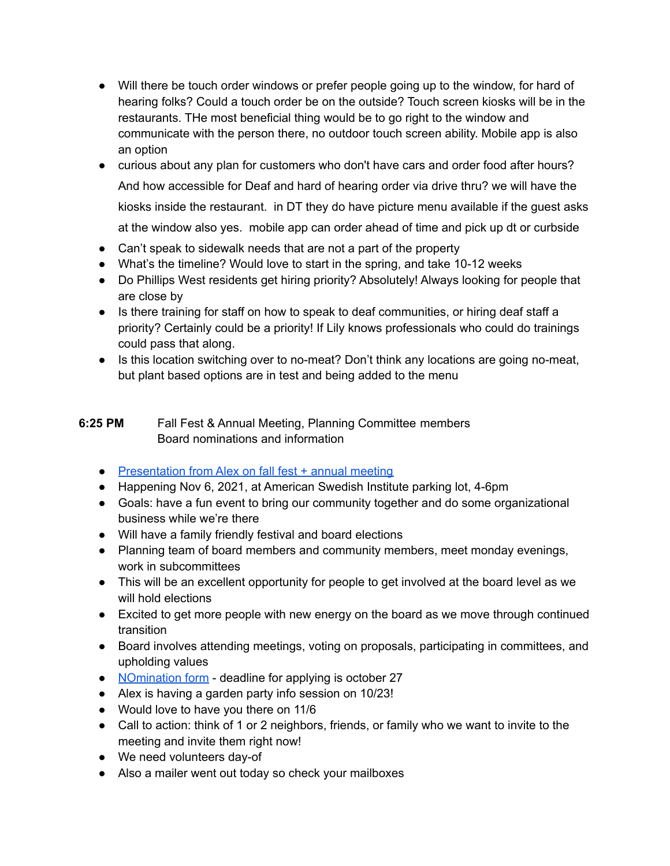- Will there be touch order windows or prefer people going up to the window, for hard of hearing folks? Could a touch order be on the outside? Touch screen kiosks will be in the restaurants. THe most beneficial thing would be to go right to the window and communicate with the person there, no outdoor touch screen ability. Mobile app is also an option
- curious about any plan for customers who don't have cars and order food after hours? And how accessible for Deaf and hard of hearing order via drive thru? we will have the kiosks inside the restaurant. in DT they do have picture menu available if the guest asks at the window also yes. mobile app can order ahead of time and pick up dt or curbside
- Can't speak to sidewalk needs that are not a part of the property
- What's the timeline? Would love to start in the spring, and take 10-12 weeks
- Do Phillips West residents get hiring priority? Absolutely! Always looking for people that are close by
- Is there training for staff on how to speak to deaf communities, or hiring deaf staff a priority? Certainly could be a priority! If Lily knows professionals who could do trainings could pass that along.
- Is this location switching over to no-meat? Don't think any locations are going no-meat, but plant based options are in test and being added to the menu

## **6:25 PM** Fall Fest & Annual Meeting, Planning Committee members Board nominations and information

- [Presentation](https://www.canva.com/design/DAEsLS38eWo/IWjJSabRZTU6GzWVVugq2w/view?utm_content=DAEsLS38eWo&utm_campaign=designshare&utm_medium=link&utm_source=viewer) from Alex on fall fest + annual meeting
- Happening Nov 6, 2021, at American Swedish Institute parking lot, 4-6pm
- Goals: have a fun event to bring our community together and do some organizational business while we're there
- Will have a family friendly festival and board elections
- Planning team of board members and community members, meet monday evenings, work in subcommittees
- This will be an excellent opportunity for people to get involved at the board level as we will hold elections
- Excited to get more people with new energy on the board as we move through continued transition
- Board involves attending meetings, voting on proposals, participating in committees, and upholding values
- Nomination form deadline for applying is october 27
- Alex is having a garden party info session on 10/23!
- Would love to have you there on 11/6
- Call to action: think of 1 or 2 neighbors, friends, or family who we want to invite to the meeting and invite them right now!
- We need volunteers day-of
- Also a mailer went out today so check your mailboxes